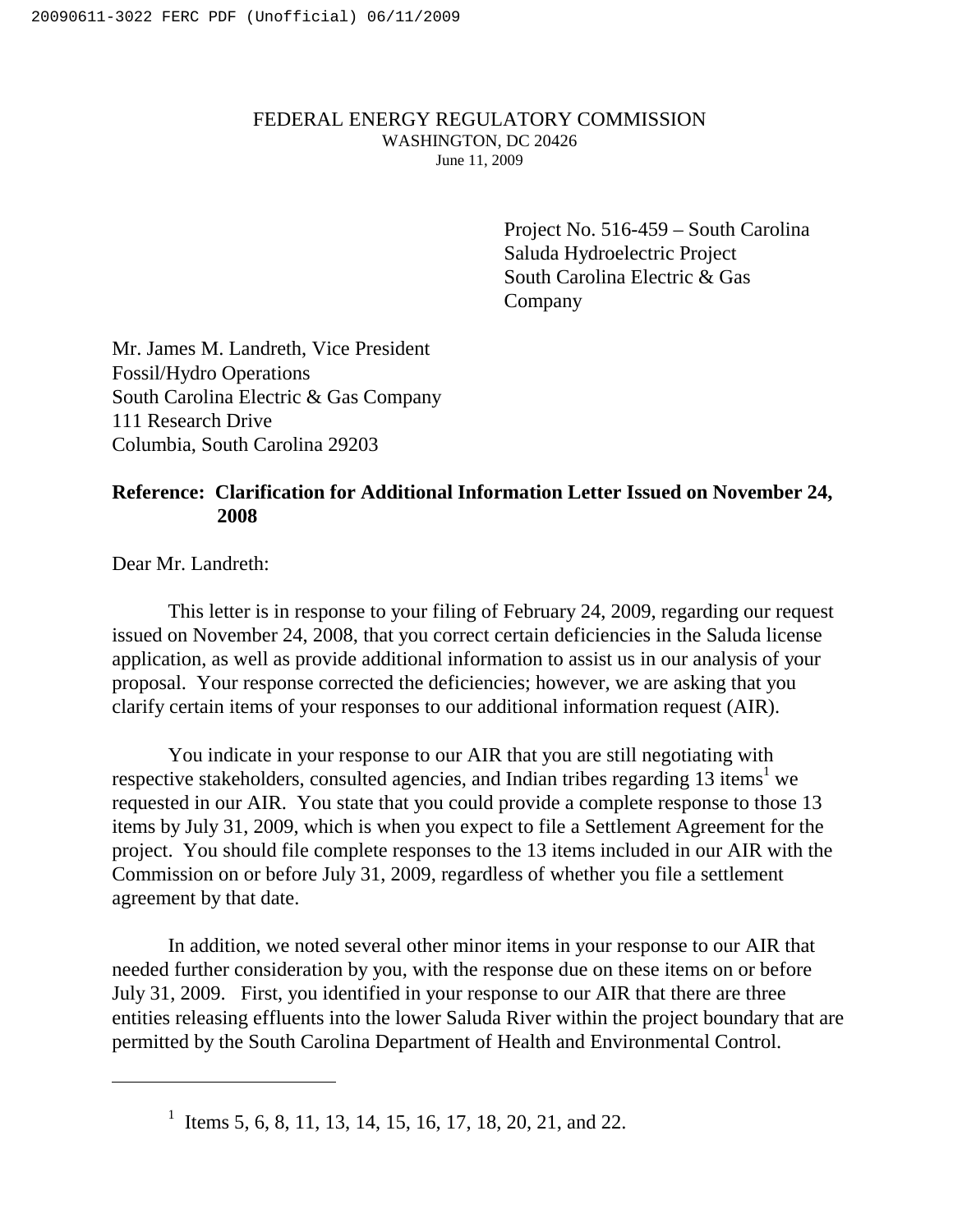## FEDERAL ENERGY REGULATORY COMMISSION WASHINGTON, DC 20426 June 11, 2009

Project No. 516-459 – South Carolina Saluda Hydroelectric Project South Carolina Electric & Gas Company

Mr. James M. Landreth, Vice President Fossil/Hydro Operations South Carolina Electric & Gas Company 111 Research Drive Columbia, South Carolina 29203

## **Reference: Clarification for Additional Information Letter Issued on November 24, 2008**

Dear Mr. Landreth:

This letter is in response to your filing of February 24, 2009, regarding our request issued on November 24, 2008, that you correct certain deficiencies in the Saluda license application, as well as provide additional information to assist us in our analysis of your proposal. Your response corrected the deficiencies; however, we are asking that you clarify certain items of your responses to our additional information request (AIR).

You indicate in your response to our AIR that you are still negotiating with respective stakeholders, consulted agencies, and Indian tribes regarding 13 items<sup>1</sup> we requested in our AIR. You state that you could provide a complete response to those 13 items by July 31, 2009, which is when you expect to file a Settlement Agreement for the project. You should file complete responses to the 13 items included in our AIR with the Commission on or before July 31, 2009, regardless of whether you file a settlement agreement by that date.

In addition, we noted several other minor items in your response to our AIR that needed further consideration by you, with the response due on these items on or before July 31, 2009. First, you identified in your response to our AIR that there are three entities releasing effluents into the lower Saluda River within the project boundary that are permitted by the South Carolina Department of Health and Environmental Control.

<sup>&</sup>lt;sup>1</sup> Items 5, 6, 8, 11, 13, 14, 15, 16, 17, 18, 20, 21, and 22.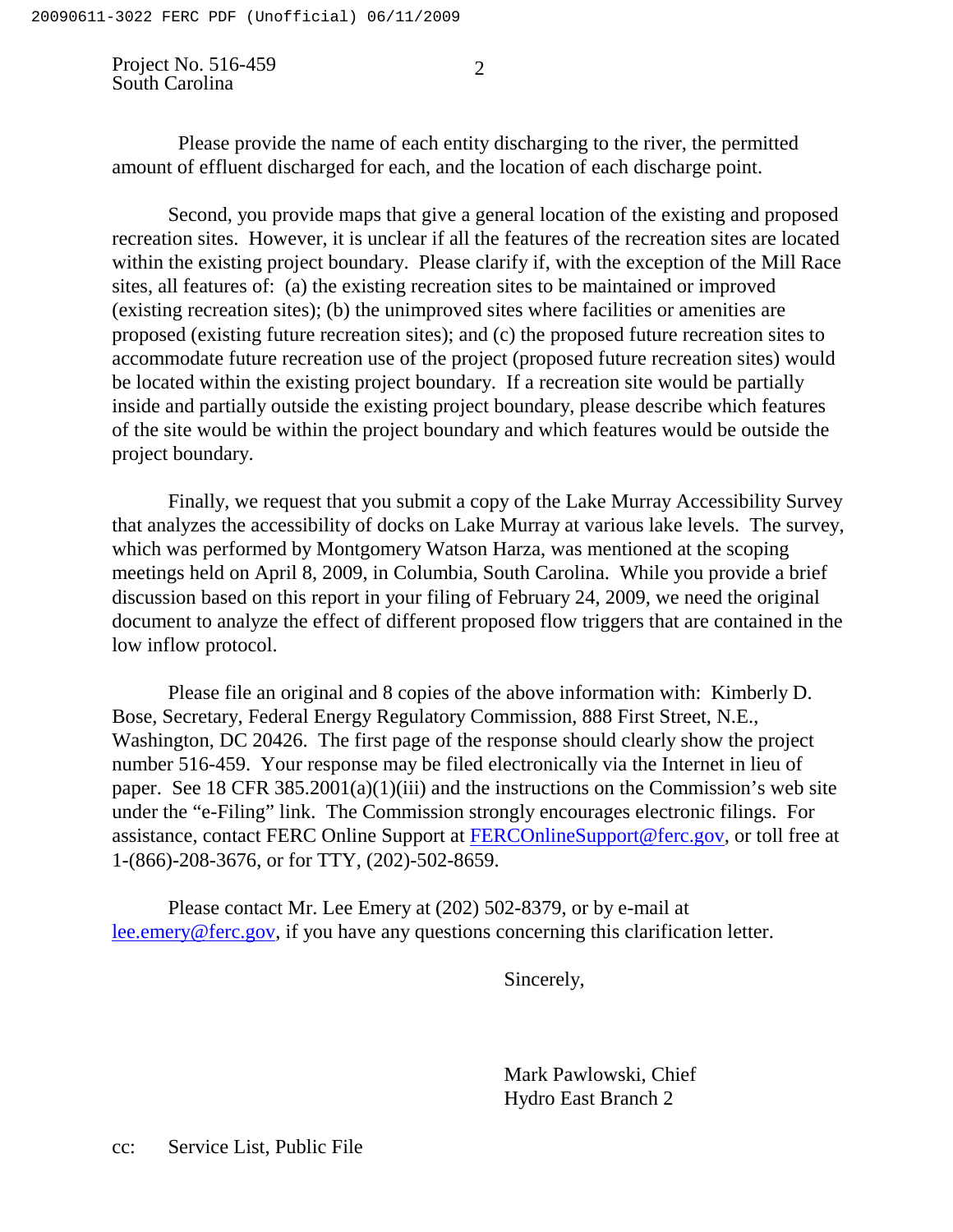Project No. 516-459 South Carolina

Please provide the name of each entity discharging to the river, the permitted amount of effluent discharged for each, and the location of each discharge point.

Second, you provide maps that give a general location of the existing and proposed recreation sites. However, it is unclear if all the features of the recreation sites are located within the existing project boundary. Please clarify if, with the exception of the Mill Race sites, all features of: (a) the existing recreation sites to be maintained or improved (existing recreation sites); (b) the unimproved sites where facilities or amenities are proposed (existing future recreation sites); and (c) the proposed future recreation sites to accommodate future recreation use of the project (proposed future recreation sites) would be located within the existing project boundary. If a recreation site would be partially inside and partially outside the existing project boundary, please describe which features of the site would be within the project boundary and which features would be outside the project boundary.

Finally, we request that you submit a copy of the Lake Murray Accessibility Survey that analyzes the accessibility of docks on Lake Murray at various lake levels. The survey, which was performed by Montgomery Watson Harza, was mentioned at the scoping meetings held on April 8, 2009, in Columbia, South Carolina. While you provide a brief discussion based on this report in your filing of February 24, 2009, we need the original document to analyze the effect of different proposed flow triggers that are contained in the low inflow protocol.

Please file an original and 8 copies of the above information with: Kimberly D. Bose, Secretary, Federal Energy Regulatory Commission, 888 First Street, N.E., Washington, DC 20426. The first page of the response should clearly show the project number 516-459. Your response may be filed electronically via the Internet in lieu of paper. See 18 CFR 385.2001(a)(1)(iii) and the instructions on the Commission's web site under the "e-Filing" link. The Commission strongly encourages electronic filings. For assistance, contact FERC Online Support at FERCOnlineSupport@ferc.gov, or toll free at 1-(866)-208-3676, or for TTY, (202)-502-8659.

Please contact Mr. Lee Emery at (202) 502-8379, or by e-mail at lee.emery@ferc.gov, if you have any questions concerning this clarification letter.

Sincerely,

Mark Pawlowski, Chief Hydro East Branch 2

cc: Service List, Public File